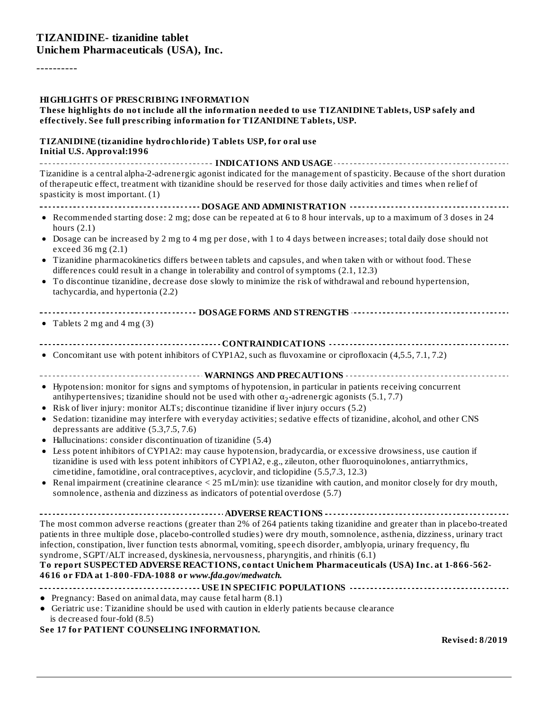----------

#### **HIGHLIGHTS OF PRESCRIBING INFORMATION**

#### **These highlights do not include all the information needed to use TIZANIDINE Tablets, USP safely and effectively. See full prescribing information for TIZANIDINE Tablets, USP.**

#### **TIZANIDINE (tizanidine hydrochloride) Tablets USP, for oral use Initial U.S. Approval:1996**

**INDICATIONS AND USAGE** Tizanidine is a central alpha-2-adrenergic agonist indicated for the management of spasticity. Because of the short duration of therapeutic effect, treatment with tizanidine should be reserved for those daily activities and times when relief of spasticity is most important. (1)

**DOSAGE AND ADMINISTRATION**

- Recommended starting dose: 2 mg; dose can be repeated at 6 to 8 hour intervals, up to a maximum of 3 doses in 24 hours  $(2.1)$
- Dosage can be increased by 2 mg to 4 mg per dose, with 1 to 4 days between increases; total daily dose should not exceed 36 mg (2.1)
- Tizanidine pharmacokinetics differs between tablets and capsules, and when taken with or without food. These differences could result in a change in tolerability and control of symptoms (2.1, 12.3)
- To discontinue tizanidine, decrease dose slowly to minimize the risk of withdrawal and rebound hypertension, tachycardia, and hypertonia (2.2)
	- **DOSAGE FORMS AND STRENGTHS**
- Tablets 2 mg and 4 mg  $(3)$
- **CONTRAINDICATIONS**
- Concomitant use with potent inhibitors of CYP1A2, such as fluvoxamine or ciprofloxacin (4,5.5, 7.1, 7.2)

**WARNINGS AND PRECAUTIONS**

- Hypotension: monitor for signs and symptoms of hypotension, in particular in patients receiving concurrent antihypertensives; tizanidine should not be used with other  $\alpha_2$ -adrenergic agonists (5.1, 7.7)
- Risk of liver injury: monitor ALTs; discontinue tizanidine if liver injury occurs (5.2)
- Sedation: tizanidine may interfere with everyday activities; sedative effects of tizanidine, alcohol, and other CNS depressants are additive (5.3,7.5, 7.6)
- Hallucinations: consider discontinuation of tizanidine (5.4)
- Less potent inhibitors of CYP1A2: may cause hypotension, bradycardia, or excessive drowsiness, use caution if  $\bullet$ tizanidine is used with less potent inhibitors of CYP1A2, e.g., zileuton, other fluoroquinolones, antiarrythmics, cimetidine, famotidine, oral contraceptives, acyclovir, and ticlopidine (5.5,7.3, 12.3)
- Renal impairment (creatinine clearance  $\leq 25$  mL/min): use tizanidine with caution, and monitor closely for dry mouth,  $\bullet$ somnolence, asthenia and dizziness as indicators of potential overdose (5.7)

**ADVERSE REACTIONS** The most common adverse reactions (greater than 2% of 264 patients taking tizanidine and greater than in placebo-treated patients in three multiple dose, placebo-controlled studies) were dry mouth, somnolence, asthenia, dizziness, urinary tract infection, constipation, liver function tests abnormal, vomiting, speech disorder, amblyopia, urinary frequency, flu

#### syndrome, SGPT/ALT increased, dyskinesia, nervousness, pharyngitis, and rhinitis (6.1) **To report SUSPECTED ADVERSE REACTIONS, contact Unichem Pharmaceuticals (USA) Inc. at 1-866-562- 4616 or FDA at 1-800-FDA-1088 or** *www.fda.gov/medwatch.*

- **USE IN SPECIFIC POPULATIONS**
- Pregnancy: Based on animal data, may cause fetal harm (8.1)
- Geriatric use: Tizanidine should be used with caution in elderly patients because clearance is decreased four-fold (8.5)

#### **See 17 for PATIENT COUNSELING INFORMATION.**

**Revised: 8/2019**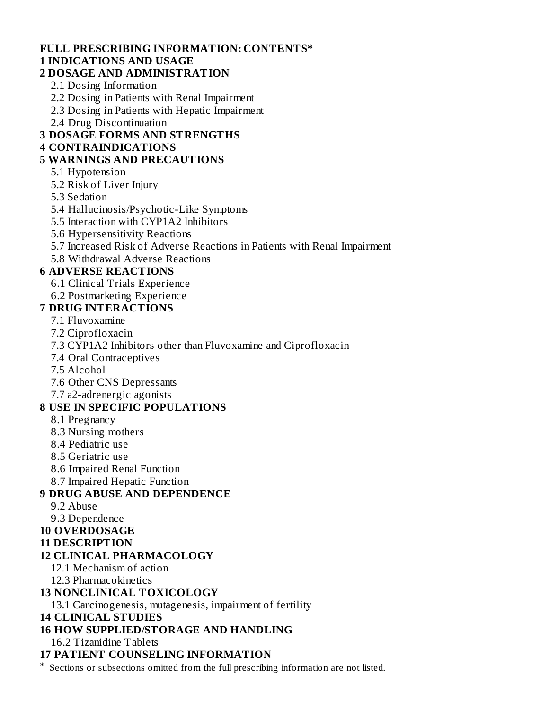# **FULL PRESCRIBING INFORMATION: CONTENTS\***

# **1 INDICATIONS AND USAGE**

#### **2 DOSAGE AND ADMINISTRATION**

- 2.1 Dosing Information
- 2.2 Dosing in Patients with Renal Impairment
- 2.3 Dosing in Patients with Hepatic Impairment
- 2.4 Drug Discontinuation

# **3 DOSAGE FORMS AND STRENGTHS**

#### **4 CONTRAINDICATIONS**

## **5 WARNINGS AND PRECAUTIONS**

- 5.1 Hypotension
- 5.2 Risk of Liver Injury
- 5.3 Sedation
- 5.4 Hallucinosis/Psychotic-Like Symptoms
- 5.5 Interaction with CYP1A2 Inhibitors
- 5.6 Hypersensitivity Reactions
- 5.7 Increased Risk of Adverse Reactions in Patients with Renal Impairment
- 5.8 Withdrawal Adverse Reactions

# **6 ADVERSE REACTIONS**

- 6.1 Clinical Trials Experience
- 6.2 Postmarketing Experience
- **7 DRUG INTERACTIONS**

## 7.1 Fluvoxamine

- 7.2 Ciprofloxacin
- 7.3 CYP1A2 Inhibitors other than Fluvoxamine and Ciprofloxacin
- 7.4 Oral Contraceptives
- 7.5 Alcohol
- 7.6 Other CNS Depressants
- 7.7 a2-adrenergic agonists

## **8 USE IN SPECIFIC POPULATIONS**

- 8.1 Pregnancy
- 8.3 Nursing mothers
- 8.4 Pediatric use
- 8.5 Geriatric use
- 8.6 Impaired Renal Function
- 8.7 Impaired Hepatic Function

## **9 DRUG ABUSE AND DEPENDENCE**

- 9.2 Abuse
- 9.3 Dependence
- **10 OVERDOSAGE**
- **11 DESCRIPTION**

## **12 CLINICAL PHARMACOLOGY**

- 12.1 Mechanism of action
- 12.3 Pharmacokinetics

## **13 NONCLINICAL TOXICOLOGY**

13.1 Carcinogenesis, mutagenesis, impairment of fertility

#### **14 CLINICAL STUDIES**

# **16 HOW SUPPLIED/STORAGE AND HANDLING**

16.2 Tizanidine Tablets

# **17 PATIENT COUNSELING INFORMATION**

\* Sections or subsections omitted from the full prescribing information are not listed.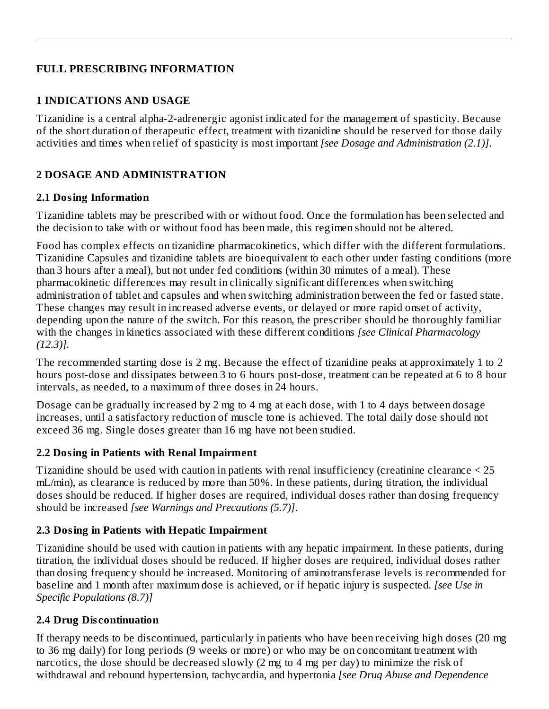# **FULL PRESCRIBING INFORMATION**

# **1 INDICATIONS AND USAGE**

Tizanidine is a central alpha-2-adrenergic agonist indicated for the management of spasticity. Because of the short duration of therapeutic effect, treatment with tizanidine should be reserved for those daily activities and times when relief of spasticity is most important *[see Dosage and Administration (2.1)]*.

# **2 DOSAGE AND ADMINISTRATION**

# **2.1 Dosing Information**

Tizanidine tablets may be prescribed with or without food. Once the formulation has been selected and the decision to take with or without food has been made, this regimen should not be altered.

Food has complex effects on tizanidine pharmacokinetics, which differ with the different formulations. Tizanidine Capsules and tizanidine tablets are bioequivalent to each other under fasting conditions (more than 3 hours after a meal), but not under fed conditions (within 30 minutes of a meal). These pharmacokinetic differences may result in clinically significant differences when switching administration of tablet and capsules and when switching administration between the fed or fasted state. These changes may result in increased adverse events, or delayed or more rapid onset of activity, depending upon the nature of the switch. For this reason, the prescriber should be thoroughly familiar with the changes in kinetics associated with these different conditions *[see Clinical Pharmacology (12.3)].*

The recommended starting dose is 2 mg. Because the effect of tizanidine peaks at approximately 1 to 2 hours post-dose and dissipates between 3 to 6 hours post-dose, treatment can be repeated at 6 to 8 hour intervals, as needed, to a maximum of three doses in 24 hours.

Dosage can be gradually increased by 2 mg to 4 mg at each dose, with 1 to 4 days between dosage increases, until a satisfactory reduction of muscle tone is achieved. The total daily dose should not exceed 36 mg. Single doses greater than 16 mg have not been studied.

# **2.2 Dosing in Patients with Renal Impairment**

Tizanidine should be used with caution in patients with renal insufficiency (creatinine clearance < 25 mL/min), as clearance is reduced by more than 50%. In these patients, during titration, the individual doses should be reduced. If higher doses are required, individual doses rather than dosing frequency should be increased *[see Warnings and Precautions (5.7)]*.

# **2.3 Dosing in Patients with Hepatic Impairment**

Tizanidine should be used with caution in patients with any hepatic impairment. In these patients, during titration, the individual doses should be reduced. If higher doses are required, individual doses rather than dosing frequency should be increased. Monitoring of aminotransferase levels is recommended for baseline and 1 month after maximum dose is achieved, or if hepatic injury is suspected. *[see Use in Specific Populations (8.7)]*

# **2.4 Drug Dis continuation**

If therapy needs to be discontinued, particularly in patients who have been receiving high doses (20 mg to 36 mg daily) for long periods (9 weeks or more) or who may be on concomitant treatment with narcotics, the dose should be decreased slowly (2 mg to 4 mg per day) to minimize the risk of withdrawal and rebound hypertension, tachycardia, and hypertonia *[see Drug Abuse and Dependence*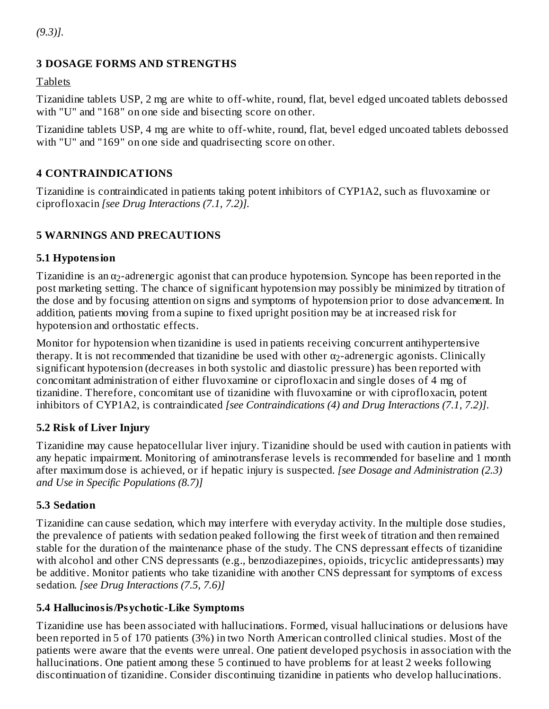*(9.3)].*

# **3 DOSAGE FORMS AND STRENGTHS**

Tablets

Tizanidine tablets USP, 2 mg are white to off-white, round, flat, bevel edged uncoated tablets debossed with "U" and "168" on one side and bisecting score on other.

Tizanidine tablets USP, 4 mg are white to off-white, round, flat, bevel edged uncoated tablets debossed with "U" and "169" on one side and quadrisecting score on other.

# **4 CONTRAINDICATIONS**

Tizanidine is contraindicated in patients taking potent inhibitors of CYP1A2, such as fluvoxamine or ciprofloxacin *[see Drug Interactions (7.1, 7.2)].*

## **5 WARNINGS AND PRECAUTIONS**

## **5.1 Hypotension**

Tizanidine is an  $\alpha_2$ -adrenergic agonist that can produce hypotension. Syncope has been reported in the post marketing setting. The chance of significant hypotension may possibly be minimized by titration of the dose and by focusing attention on signs and symptoms of hypotension prior to dose advancement. In addition, patients moving from a supine to fixed upright position may be at increased risk for hypotension and orthostatic effects.

Monitor for hypotension when tizanidine is used in patients receiving concurrent antihypertensive therapy. It is not recommended that tizanidine be used with other  $\alpha_2$ -adrenergic agonists. Clinically significant hypotension (decreases in both systolic and diastolic pressure) has been reported with concomitant administration of either fluvoxamine or ciprofloxacin and single doses of 4 mg of tizanidine. Therefore, concomitant use of tizanidine with fluvoxamine or with ciprofloxacin, potent inhibitors of CYP1A2, is contraindicated *[see Contraindications (4) and Drug Interactions (7.1, 7.2)]*.

## **5.2 Risk of Liver Injury**

Tizanidine may cause hepatocellular liver injury. Tizanidine should be used with caution in patients with any hepatic impairment. Monitoring of aminotransferase levels is recommended for baseline and 1 month after maximum dose is achieved, or if hepatic injury is suspected. *[see Dosage and Administration (2.3) and Use in Specific Populations (8.7)]*

## **5.3 Sedation**

Tizanidine can cause sedation, which may interfere with everyday activity. In the multiple dose studies, the prevalence of patients with sedation peaked following the first week of titration and then remained stable for the duration of the maintenance phase of the study. The CNS depressant effects of tizanidine with alcohol and other CNS depressants (e.g., benzodiazepines, opioids, tricyclic antidepressants) may be additive. Monitor patients who take tizanidine with another CNS depressant for symptoms of excess sedation. *[see Drug Interactions (7.5, 7.6)]*

## **5.4 Hallucinosis/Psychotic-Like Symptoms**

Tizanidine use has been associated with hallucinations. Formed, visual hallucinations or delusions have been reported in 5 of 170 patients (3%) in two North American controlled clinical studies. Most of the patients were aware that the events were unreal. One patient developed psychosis in association with the hallucinations. One patient among these 5 continued to have problems for at least 2 weeks following discontinuation of tizanidine. Consider discontinuing tizanidine in patients who develop hallucinations.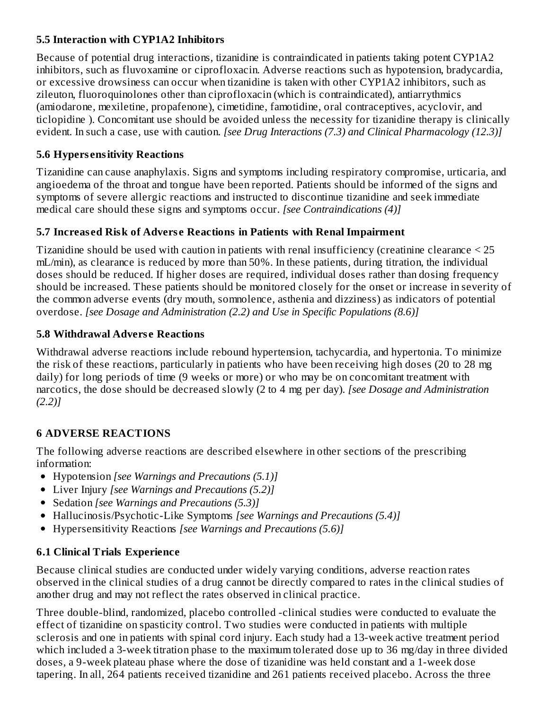# **5.5 Interaction with CYP1A2 Inhibitors**

Because of potential drug interactions, tizanidine is contraindicated in patients taking potent CYP1A2 inhibitors, such as fluvoxamine or ciprofloxacin. Adverse reactions such as hypotension, bradycardia, or excessive drowsiness can occur when tizanidine is taken with other CYP1A2 inhibitors, such as zileuton, fluoroquinolones other than ciprofloxacin (which is contraindicated), antiarrythmics (amiodarone, mexiletine, propafenone), cimetidine, famotidine, oral contraceptives, acyclovir, and ticlopidine ). Concomitant use should be avoided unless the necessity for tizanidine therapy is clinically evident. In such a case, use with caution. *[see Drug Interactions (7.3) and Clinical Pharmacology (12.3)]*

# **5.6 Hypers ensitivity Reactions**

Tizanidine can cause anaphylaxis. Signs and symptoms including respiratory compromise, urticaria, and angioedema of the throat and tongue have been reported. Patients should be informed of the signs and symptoms of severe allergic reactions and instructed to discontinue tizanidine and seek immediate medical care should these signs and symptoms occur. *[see Contraindications (4)]*

# **5.7 Increas ed Risk of Advers e Reactions in Patients with Renal Impairment**

Tizanidine should be used with caution in patients with renal insufficiency (creatinine clearance < 25 mL/min), as clearance is reduced by more than 50%. In these patients, during titration, the individual doses should be reduced. If higher doses are required, individual doses rather than dosing frequency should be increased. These patients should be monitored closely for the onset or increase in severity of the common adverse events (dry mouth, somnolence, asthenia and dizziness) as indicators of potential overdose. *[see Dosage and Administration (2.2) and Use in Specific Populations (8.6)]*

# **5.8 Withdrawal Advers e Reactions**

Withdrawal adverse reactions include rebound hypertension, tachycardia, and hypertonia. To minimize the risk of these reactions, particularly in patients who have been receiving high doses (20 to 28 mg daily) for long periods of time (9 weeks or more) or who may be on concomitant treatment with narcotics, the dose should be decreased slowly (2 to 4 mg per day). *[see Dosage and Administration (2.2)]*

# **6 ADVERSE REACTIONS**

The following adverse reactions are described elsewhere in other sections of the prescribing information:

- Hypotension *[see Warnings and Precautions (5.1)]*
- Liver Injury *[see Warnings and Precautions (5.2)]*
- Sedation *[see Warnings and Precautions (5.3)]*
- Hallucinosis/Psychotic-Like Symptoms *[see Warnings and Precautions (5.4)]*
- Hypersensitivity Reactions *[see Warnings and Precautions (5.6)]*

# **6.1 Clinical Trials Experience**

Because clinical studies are conducted under widely varying conditions, adverse reaction rates observed in the clinical studies of a drug cannot be directly compared to rates in the clinical studies of another drug and may not reflect the rates observed in clinical practice.

Three double-blind, randomized, placebo controlled -clinical studies were conducted to evaluate the effect of tizanidine on spasticity control. Two studies were conducted in patients with multiple sclerosis and one in patients with spinal cord injury. Each study had a 13-week active treatment period which included a 3-week titration phase to the maximum tolerated dose up to 36 mg/day in three divided doses, a 9-week plateau phase where the dose of tizanidine was held constant and a 1-week dose tapering. In all, 264 patients received tizanidine and 261 patients received placebo. Across the three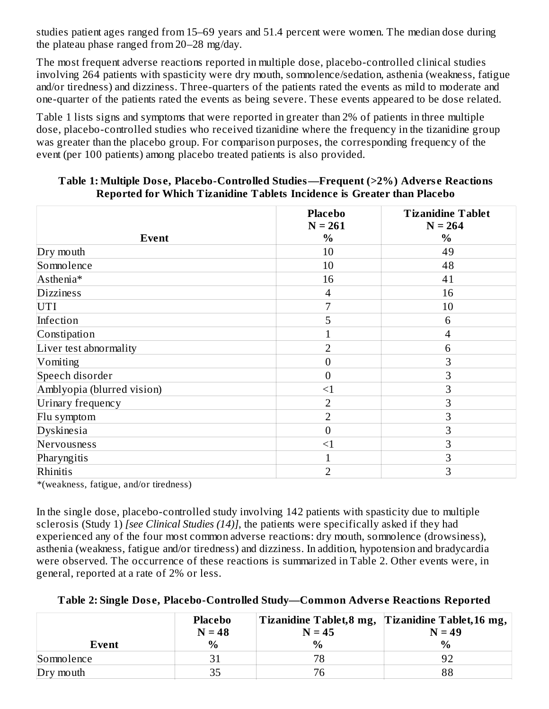studies patient ages ranged from 15–69 years and 51.4 percent were women. The median dose during the plateau phase ranged from 20–28 mg/day.

The most frequent adverse reactions reported in multiple dose, placebo-controlled clinical studies involving 264 patients with spasticity were dry mouth, somnolence/sedation, asthenia (weakness, fatigue and/or tiredness) and dizziness. Three-quarters of the patients rated the events as mild to moderate and one-quarter of the patients rated the events as being severe. These events appeared to be dose related.

Table 1 lists signs and symptoms that were reported in greater than 2% of patients in three multiple dose, placebo-controlled studies who received tizanidine where the frequency in the tizanidine group was greater than the placebo group. For comparison purposes, the corresponding frequency of the event (per 100 patients) among placebo treated patients is also provided.

|                            | <b>Placebo</b><br>$N = 261$ | <b>Tizanidine Tablet</b><br>$N = 264$ |
|----------------------------|-----------------------------|---------------------------------------|
| Event                      | $\%$                        | $\%$                                  |
| Dry mouth                  | 10                          | 49                                    |
| Somnolence                 | 10                          | 48                                    |
| Asthenia*                  | 16                          | 41                                    |
| <b>Dizziness</b>           | 4                           | 16                                    |
| UTI                        | 7                           | 10                                    |
| Infection                  | 5                           | 6                                     |
| Constipation               |                             | $\overline{\mathcal{A}}$              |
| Liver test abnormality     | $\overline{2}$              | 6                                     |
| Vomiting                   | 0                           | 3                                     |
| Speech disorder            | $\overline{0}$              | 3                                     |
| Amblyopia (blurred vision) | <1                          | 3                                     |
| Urinary frequency          | $\overline{2}$              | 3                                     |
| Flu symptom                | $\overline{2}$              | 3                                     |
| Dyskinesia                 | $\boldsymbol{0}$            | 3                                     |
| Nervousness                | $\leq$ 1                    | 3                                     |
| Pharyngitis                | 1                           | 3                                     |
| Rhinitis                   | $\overline{2}$              | 3                                     |

#### **Table 1: Multiple Dos e, Placebo-Controlled Studies—Frequent (>2%) Advers e Reactions Reported for Which Tizanidine Tablets Incidence is Greater than Placebo**

\*(weakness, fatigue, and/or tiredness)

In the single dose, placebo-controlled study involving 142 patients with spasticity due to multiple sclerosis (Study 1) *[see Clinical Studies (14)]*, the patients were specifically asked if they had experienced any of the four most common adverse reactions: dry mouth, somnolence (drowsiness), asthenia (weakness, fatigue and/or tiredness) and dizziness. In addition, hypotension and bradycardia were observed. The occurrence of these reactions is summarized in Table 2. Other events were, in general, reported at a rate of 2% or less.

|            | Placebo<br>$N = 48$ | $N = 45$ | Tizanidine Tablet, 8 mg, Tizanidine Tablet, 16 mg,<br>$N = 49$ |  |
|------------|---------------------|----------|----------------------------------------------------------------|--|
| Event      | $\frac{0}{0}$       | $\%$     | $\frac{0}{0}$                                                  |  |
| Somnolence |                     | 78       |                                                                |  |
| Dry mouth  | 35                  | 76       | 88                                                             |  |

## **Table 2: Single Dos e, Placebo-Controlled Study—Common Advers e Reactions Reported**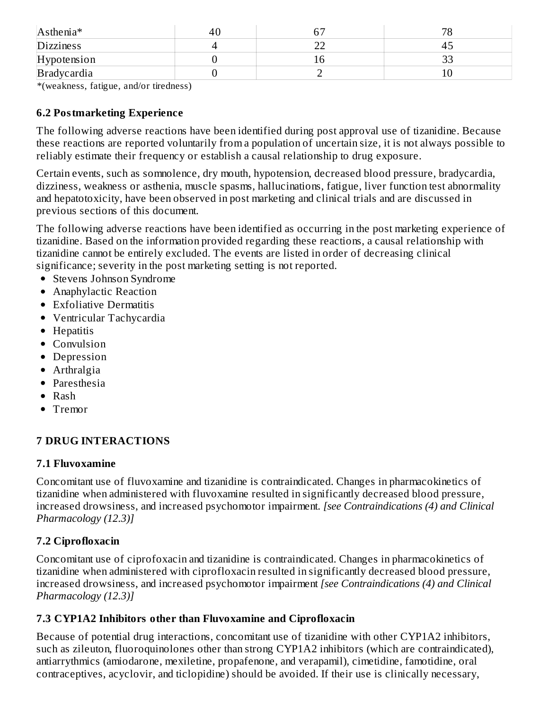| Asthenia*        | 4U | $\sim$ $-$ | 70 |
|------------------|----|------------|----|
| <b>Dizziness</b> |    |            |    |
| Hypotension      |    |            | ◡  |
| Bradycardia      |    |            |    |

\*(weakness, fatigue, and/or tiredness)

# **6.2 Postmarketing Experience**

The following adverse reactions have been identified during post approval use of tizanidine. Because these reactions are reported voluntarily from a population of uncertain size, it is not always possible to reliably estimate their frequency or establish a causal relationship to drug exposure.

Certain events, such as somnolence, dry mouth, hypotension, decreased blood pressure, bradycardia, dizziness, weakness or asthenia, muscle spasms, hallucinations, fatigue, liver function test abnormality and hepatotoxicity, have been observed in post marketing and clinical trials and are discussed in previous sections of this document.

The following adverse reactions have been identified as occurring in the post marketing experience of tizanidine. Based on the information provided regarding these reactions, a causal relationship with tizanidine cannot be entirely excluded. The events are listed in order of decreasing clinical significance; severity in the post marketing setting is not reported.

- Stevens Johnson Syndrome
- Anaphylactic Reaction
- Exfoliative Dermatitis
- Ventricular Tachycardia
- Hepatitis
- Convulsion
- Depression
- Arthralgia
- Paresthesia
- $\bullet$  Rash
- Tremor

## **7 DRUG INTERACTIONS**

## **7.1 Fluvoxamine**

Concomitant use of fluvoxamine and tizanidine is contraindicated. Changes in pharmacokinetics of tizanidine when administered with fluvoxamine resulted in significantly decreased blood pressure, increased drowsiness, and increased psychomotor impairment. *[see Contraindications (4) and Clinical Pharmacology (12.3)]*

# **7.2 Ciprofloxacin**

Concomitant use of ciprofoxacin and tizanidine is contraindicated. Changes in pharmacokinetics of tizanidine when administered with ciprofloxacin resulted in significantly decreased blood pressure, increased drowsiness, and increased psychomotor impairment *[see Contraindications (4) and Clinical Pharmacology (12.3)]*

## **7.3 CYP1A2 Inhibitors other than Fluvoxamine and Ciprofloxacin**

Because of potential drug interactions, concomitant use of tizanidine with other CYP1A2 inhibitors, such as zileuton, fluoroquinolones other than strong CYP1A2 inhibitors (which are contraindicated), antiarrythmics (amiodarone, mexiletine, propafenone, and verapamil), cimetidine, famotidine, oral contraceptives, acyclovir, and ticlopidine) should be avoided. If their use is clinically necessary,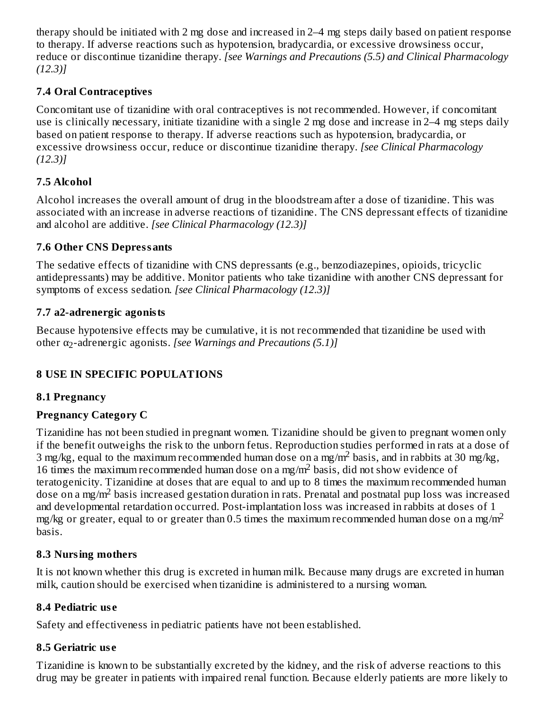therapy should be initiated with 2 mg dose and increased in 2–4 mg steps daily based on patient response to therapy. If adverse reactions such as hypotension, bradycardia, or excessive drowsiness occur, reduce or discontinue tizanidine therapy. *[see Warnings and Precautions (5.5) and Clinical Pharmacology (12.3)]*

# **7.4 Oral Contraceptives**

Concomitant use of tizanidine with oral contraceptives is not recommended. However, if concomitant use is clinically necessary, initiate tizanidine with a single 2 mg dose and increase in 2–4 mg steps daily based on patient response to therapy. If adverse reactions such as hypotension, bradycardia, or excessive drowsiness occur, reduce or discontinue tizanidine therapy. *[see Clinical Pharmacology (12.3)]*

# **7.5 Alcohol**

Alcohol increases the overall amount of drug in the bloodstream after a dose of tizanidine. This was associated with an increase in adverse reactions of tizanidine. The CNS depressant effects of tizanidine and alcohol are additive. *[see Clinical Pharmacology (12.3)]*

# **7.6 Other CNS Depressants**

The sedative effects of tizanidine with CNS depressants (e.g., benzodiazepines, opioids, tricyclic antidepressants) may be additive. Monitor patients who take tizanidine with another CNS depressant for symptoms of excess sedation. *[see Clinical Pharmacology (12.3)]*

# **7.7 a2-adrenergic agonists**

Because hypotensive effects may be cumulative, it is not recommended that tizanidine be used with **other α<sub>2</sub>-adrenergic agonists.** *[see Warnings and Precautions (5.1)]* 

# **8 USE IN SPECIFIC POPULATIONS**

## **8.1 Pregnancy**

# **Pregnancy Category C**

Tizanidine has not been studied in pregnant women. Tizanidine should be given to pregnant women only if the benefit outweighs the risk to the unborn fetus. Reproduction studies performed in rats at a dose of 3 mg/kg, equal to the maximum recommended human dose on a mg/m<sup>2</sup> basis, and in rabbits at 30 mg/kg, 16 times the maximum recommended human dose on a mg/m<sup>2</sup> basis, did not show evidence of teratogenicity. Tizanidine at doses that are equal to and up to 8 times the maximum recommended human dose on a mg/m<sup>2</sup> basis increased gestation duration in rats. Prenatal and postnatal pup loss was increased and developmental retardation occurred. Post-implantation loss was increased in rabbits at doses of 1 mg/kg or greater, equal to or greater than 0.5 times the maximum recommended human dose on a mg/m<sup>2</sup> basis.

# **8.3 Nursing mothers**

It is not known whether this drug is excreted in human milk. Because many drugs are excreted in human milk, caution should be exercised when tizanidine is administered to a nursing woman.

# **8.4 Pediatric us e**

Safety and effectiveness in pediatric patients have not been established.

# **8.5 Geriatric us e**

Tizanidine is known to be substantially excreted by the kidney, and the risk of adverse reactions to this drug may be greater in patients with impaired renal function. Because elderly patients are more likely to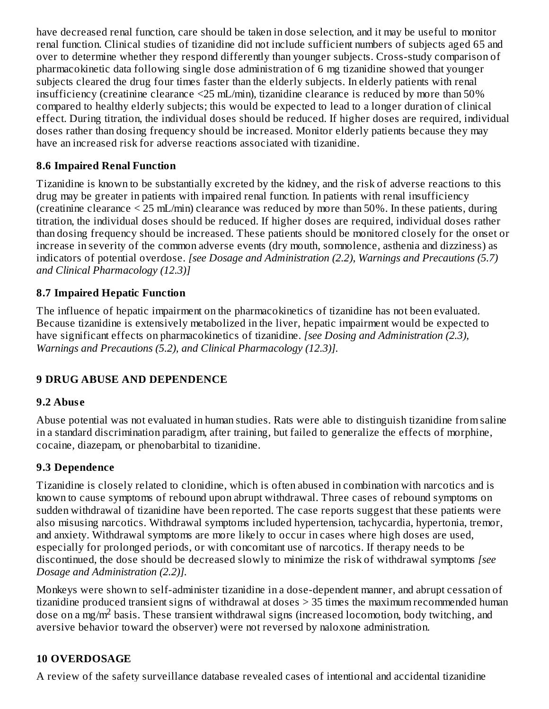have decreased renal function, care should be taken in dose selection, and it may be useful to monitor renal function. Clinical studies of tizanidine did not include sufficient numbers of subjects aged 65 and over to determine whether they respond differently than younger subjects. Cross-study comparison of pharmacokinetic data following single dose administration of 6 mg tizanidine showed that younger subjects cleared the drug four times faster than the elderly subjects. In elderly patients with renal insufficiency (creatinine clearance <25 mL/min), tizanidine clearance is reduced by more than 50% compared to healthy elderly subjects; this would be expected to lead to a longer duration of clinical effect. During titration, the individual doses should be reduced. If higher doses are required, individual doses rather than dosing frequency should be increased. Monitor elderly patients because they may have an increased risk for adverse reactions associated with tizanidine.

# **8.6 Impaired Renal Function**

Tizanidine is known to be substantially excreted by the kidney, and the risk of adverse reactions to this drug may be greater in patients with impaired renal function. In patients with renal insufficiency (creatinine clearance < 25 mL/min) clearance was reduced by more than 50%. In these patients, during titration, the individual doses should be reduced. If higher doses are required, individual doses rather than dosing frequency should be increased. These patients should be monitored closely for the onset or increase in severity of the common adverse events (dry mouth, somnolence, asthenia and dizziness) as indicators of potential overdose. *[see Dosage and Administration (2.2), Warnings and Precautions (5.7) and Clinical Pharmacology (12.3)]*

# **8.7 Impaired Hepatic Function**

The influence of hepatic impairment on the pharmacokinetics of tizanidine has not been evaluated. Because tizanidine is extensively metabolized in the liver, hepatic impairment would be expected to have significant effects on pharmacokinetics of tizanidine. *[see Dosing and Administration (2.3), Warnings and Precautions (5.2), and Clinical Pharmacology (12.3)].*

# **9 DRUG ABUSE AND DEPENDENCE**

## **9.2 Abus e**

Abuse potential was not evaluated in human studies. Rats were able to distinguish tizanidine from saline in a standard discrimination paradigm, after training, but failed to generalize the effects of morphine, cocaine, diazepam, or phenobarbital to tizanidine.

# **9.3 Dependence**

Tizanidine is closely related to clonidine, which is often abused in combination with narcotics and is known to cause symptoms of rebound upon abrupt withdrawal. Three cases of rebound symptoms on sudden withdrawal of tizanidine have been reported. The case reports suggest that these patients were also misusing narcotics. Withdrawal symptoms included hypertension, tachycardia, hypertonia, tremor, and anxiety. Withdrawal symptoms are more likely to occur in cases where high doses are used, especially for prolonged periods, or with concomitant use of narcotics. If therapy needs to be discontinued, the dose should be decreased slowly to minimize the risk of withdrawal symptoms *[see Dosage and Administration (2.2)].*

Monkeys were shown to self-administer tizanidine in a dose-dependent manner, and abrupt cessation of tizanidine produced transient signs of withdrawal at doses > 35 times the maximum recommended human dose on a mg/m<sup>2</sup> basis. These transient withdrawal signs (increased locomotion, body twitching, and aversive behavior toward the observer) were not reversed by naloxone administration.

# **10 OVERDOSAGE**

A review of the safety surveillance database revealed cases of intentional and accidental tizanidine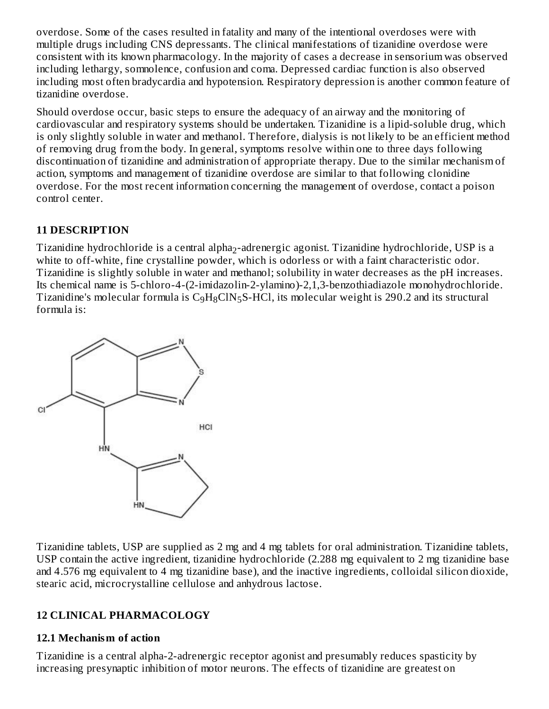overdose. Some of the cases resulted in fatality and many of the intentional overdoses were with multiple drugs including CNS depressants. The clinical manifestations of tizanidine overdose were consistent with its known pharmacology. In the majority of cases a decrease in sensorium was observed including lethargy, somnolence, confusion and coma. Depressed cardiac function is also observed including most often bradycardia and hypotension. Respiratory depression is another common feature of tizanidine overdose.

Should overdose occur, basic steps to ensure the adequacy of an airway and the monitoring of cardiovascular and respiratory systems should be undertaken. Tizanidine is a lipid-soluble drug, which is only slightly soluble in water and methanol. Therefore, dialysis is not likely to be an efficient method of removing drug from the body. In general, symptoms resolve within one to three days following discontinuation of tizanidine and administration of appropriate therapy. Due to the similar mechanism of action, symptoms and management of tizanidine overdose are similar to that following clonidine overdose. For the most recent information concerning the management of overdose, contact a poison control center.

# **11 DESCRIPTION**

Tizanidine hydrochloride is a central alpha $_2$ -adrenergic agonist. Tizanidine hydrochloride, USP is a white to off-white, fine crystalline powder, which is odorless or with a faint characteristic odor. Tizanidine is slightly soluble in water and methanol; solubility in water decreases as the pH increases. Its chemical name is 5-chloro-4-(2-imidazolin-2-ylamino)-2,1,3-benzothiadiazole monohydrochloride. Tizanidine's molecular formula is  $\rm{C_9H_8CIN_5S-HCl}$ , its molecular weight is 290.2 and its structural formula is:



Tizanidine tablets, USP are supplied as 2 mg and 4 mg tablets for oral administration. Tizanidine tablets, USP contain the active ingredient, tizanidine hydrochloride (2.288 mg equivalent to 2 mg tizanidine base and 4.576 mg equivalent to 4 mg tizanidine base), and the inactive ingredients, colloidal silicon dioxide, stearic acid, microcrystalline cellulose and anhydrous lactose.

## **12 CLINICAL PHARMACOLOGY**

## **12.1 Mechanism of action**

Tizanidine is a central alpha-2-adrenergic receptor agonist and presumably reduces spasticity by increasing presynaptic inhibition of motor neurons. The effects of tizanidine are greatest on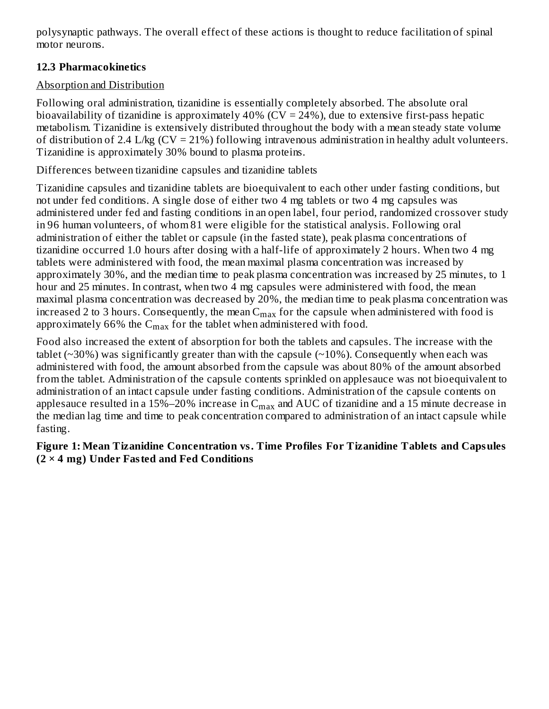polysynaptic pathways. The overall effect of these actions is thought to reduce facilitation of spinal motor neurons.

# **12.3 Pharmacokinetics**

# Absorption and Distribution

Following oral administration, tizanidine is essentially completely absorbed. The absolute oral bioavailability of tizanidine is approximately  $40\%$  (CV = 24%), due to extensive first-pass hepatic metabolism. Tizanidine is extensively distributed throughout the body with a mean steady state volume of distribution of 2.4 L/kg (CV = 21%) following intravenous administration in healthy adult volunteers. Tizanidine is approximately 30% bound to plasma proteins.

Differences between tizanidine capsules and tizanidine tablets

Tizanidine capsules and tizanidine tablets are bioequivalent to each other under fasting conditions, but not under fed conditions. A single dose of either two 4 mg tablets or two 4 mg capsules was administered under fed and fasting conditions in an open label, four period, randomized crossover study in 96 human volunteers, of whom 81 were eligible for the statistical analysis. Following oral administration of either the tablet or capsule (in the fasted state), peak plasma concentrations of tizanidine occurred 1.0 hours after dosing with a half-life of approximately 2 hours. When two 4 mg tablets were administered with food, the mean maximal plasma concentration was increased by approximately 30%, and the median time to peak plasma concentration was increased by 25 minutes, to 1 hour and 25 minutes. In contrast, when two 4 mg capsules were administered with food, the mean maximal plasma concentration was decreased by 20%, the median time to peak plasma concentration was increased 2 to 3 hours. Consequently, the mean  $\mathsf{C}_{\max}$  for the capsule when administered with food is approximately 66% the  $\mathsf{C}_{\max}$  for the tablet when administered with food.

Food also increased the extent of absorption for both the tablets and capsules. The increase with the tablet ( $\sim$ 30%) was significantly greater than with the capsule ( $\sim$ 10%). Consequently when each was administered with food, the amount absorbed from the capsule was about 80% of the amount absorbed from the tablet. Administration of the capsule contents sprinkled on applesauce was not bioequivalent to administration of an intact capsule under fasting conditions. Administration of the capsule contents on applesauce resulted in a 15%–20% increase in  $\rm{C_{max}}$  and  $\rm{AUC}$  of tizanidine and a 15 minute decrease in the median lag time and time to peak concentration compared to administration of an intact capsule while fasting.

# **Figure 1: Mean Tizanidine Concentration vs. Time Profiles For Tizanidine Tablets and Capsules (2 × 4 mg) Under Fasted and Fed Conditions**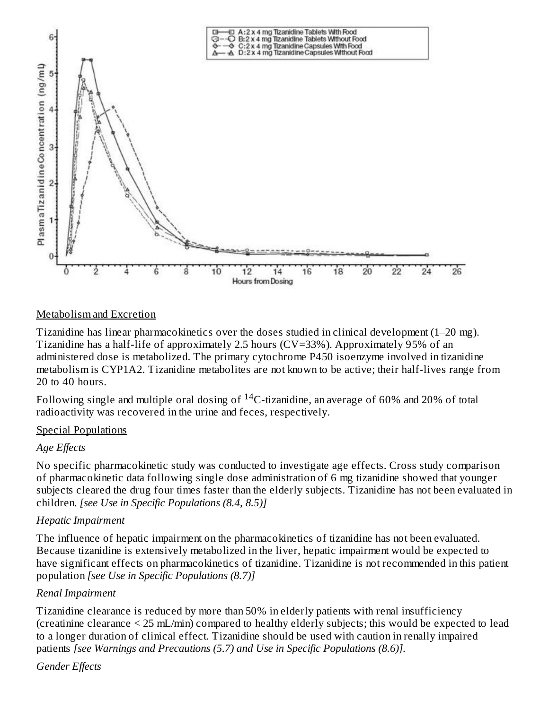

#### Metabolism and Excretion

Tizanidine has linear pharmacokinetics over the doses studied in clinical development (1–20 mg). Tizanidine has a half-life of approximately 2.5 hours (CV=33%). Approximately 95% of an administered dose is metabolized. The primary cytochrome P450 isoenzyme involved in tizanidine metabolism is CYP1A2. Tizanidine metabolites are not known to be active; their half-lives range from 20 to 40 hours.

Following single and multiple oral dosing of  $^{14}$ C-tizanidine, an average of 60% and 20% of total radioactivity was recovered in the urine and feces, respectively.

#### Special Populations

## *Age Effects*

No specific pharmacokinetic study was conducted to investigate age effects. Cross study comparison of pharmacokinetic data following single dose administration of 6 mg tizanidine showed that younger subjects cleared the drug four times faster than the elderly subjects. Tizanidine has not been evaluated in children. *[see Use in Specific Populations (8.4, 8.5)]*

## *Hepatic Impairment*

The influence of hepatic impairment on the pharmacokinetics of tizanidine has not been evaluated. Because tizanidine is extensively metabolized in the liver, hepatic impairment would be expected to have significant effects on pharmacokinetics of tizanidine. Tizanidine is not recommended in this patient population *[see Use in Specific Populations (8.7)]*

## *Renal Impairment*

Tizanidine clearance is reduced by more than 50% in elderly patients with renal insufficiency (creatinine clearance < 25 mL/min) compared to healthy elderly subjects; this would be expected to lead to a longer duration of clinical effect. Tizanidine should be used with caution in renally impaired patients *[see Warnings and Precautions (5.7) and Use in Specific Populations (8.6)].*

## *Gender Effects*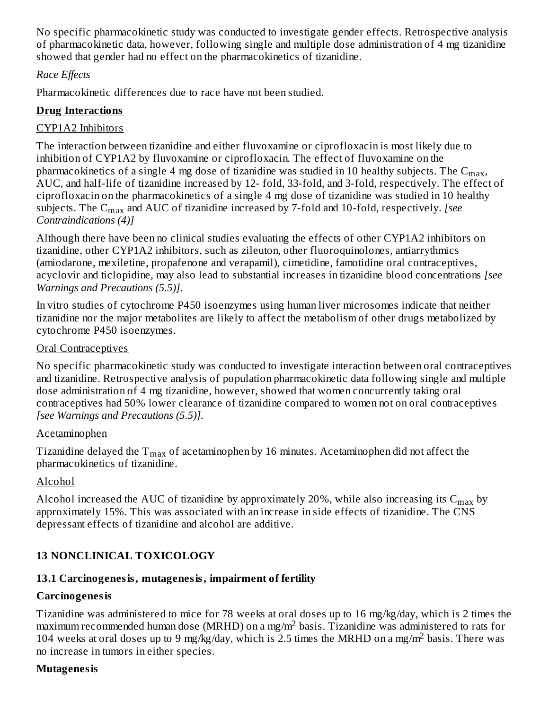No specific pharmacokinetic study was conducted to investigate gender effects. Retrospective analysis of pharmacokinetic data, however, following single and multiple dose administration of 4 mg tizanidine showed that gender had no effect on the pharmacokinetics of tizanidine.

# *Race Effects*

Pharmacokinetic differences due to race have not been studied.

# **Drug Interactions**

# CYP1A2 Inhibitors

The interaction between tizanidine and either fluvoxamine or ciprofloxacin is most likely due to inhibition of CYP1A2 by fluvoxamine or ciprofloxacin. The effect of fluvoxamine on the pharmacokinetics of a single 4 mg dose of tizanidine was studied in 10 healthy subjects. The  $\mathsf{C}_{\max},$ AUC, and half-life of tizanidine increased by 12- fold, 33-fold, and 3-fold, respectively. The effect of ciprofloxacin on the pharmacokinetics of a single 4 mg dose of tizanidine was studied in 10 healthy subjects. The C<sub>max</sub> and AUC of tizanidine increased by 7-fold and 10-fold, respectively. *[see Contraindications (4)]*

Although there have been no clinical studies evaluating the effects of other CYP1A2 inhibitors on tizanidine, other CYP1A2 inhibitors, such as zileuton, other fluoroquinolones, antiarrythmics (amiodarone, mexiletine, propafenone and verapamil), cimetidine, famotidine oral contraceptives, acyclovir and ticlopidine, may also lead to substantial increases in tizanidine blood concentrations *[see Warnings and Precautions (5.5)]*.

In vitro studies of cytochrome P450 isoenzymes using human liver microsomes indicate that neither tizanidine nor the major metabolites are likely to affect the metabolism of other drugs metabolized by cytochrome P450 isoenzymes.

# Oral Contraceptives

No specific pharmacokinetic study was conducted to investigate interaction between oral contraceptives and tizanidine. Retrospective analysis of population pharmacokinetic data following single and multiple dose administration of 4 mg tizanidine, however, showed that women concurrently taking oral contraceptives had 50% lower clearance of tizanidine compared to women not on oral contraceptives *[see Warnings and Precautions (5.5)].*

## Acetaminophen

Tizanidine delayed the  $\rm T_{max}$  of acetaminophen by 16 minutes. Acetaminophen did not affect the pharmacokinetics of tizanidine.

# Alcohol

Alcohol increased the AUC of tizanidine by approximately 20%, while also increasing its  $\rm{C_{max}}$  by approximately 15%. This was associated with an increase in side effects of tizanidine. The CNS depressant effects of tizanidine and alcohol are additive.

# **13 NONCLINICAL TOXICOLOGY**

# **13.1 Carcinogenesis, mutagenesis, impairment of fertility**

# **Carcinogenesis**

Tizanidine was administered to mice for 78 weeks at oral doses up to 16 mg/kg/day, which is 2 times the maximum recommended human dose (MRHD) on a mg/m<sup>2</sup> basis. Tizanidine was administered to rats for 104 weeks at oral doses up to 9 mg/kg/day, which is 2.5 times the MRHD on a mg/m<sup>2</sup> basis. There was no increase in tumors in either species.

#### **Mutagenesis**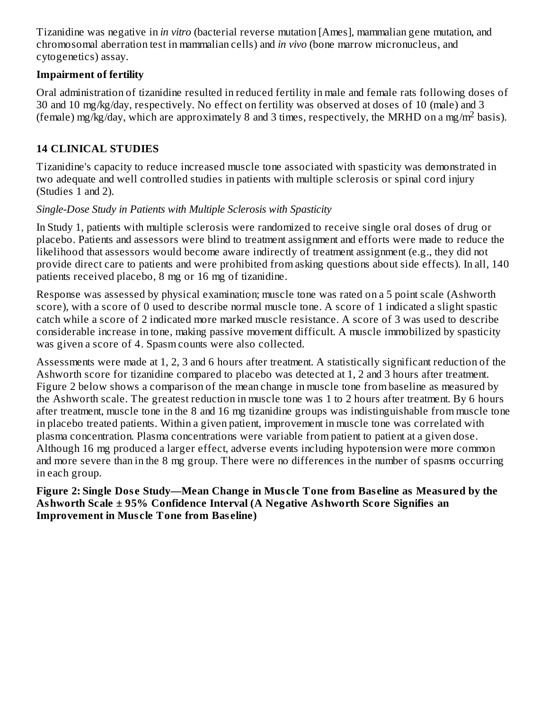Tizanidine was negative in *in vitro* (bacterial reverse mutation [Ames], mammalian gene mutation, and chromosomal aberration test in mammalian cells) and *in vivo* (bone marrow micronucleus, and cytogenetics) assay.

# **Impairment of fertility**

Oral administration of tizanidine resulted in reduced fertility in male and female rats following doses of 30 and 10 mg/kg/day, respectively. No effect on fertility was observed at doses of 10 (male) and 3 (female) mg/kg/day, which are approximately 8 and 3 times, respectively, the MRHD on a mg/m<sup>2</sup> basis).

# **14 CLINICAL STUDIES**

Tizanidine's capacity to reduce increased muscle tone associated with spasticity was demonstrated in two adequate and well controlled studies in patients with multiple sclerosis or spinal cord injury (Studies 1 and 2).

# *Single-Dose Study in Patients with Multiple Sclerosis with Spasticity*

In Study 1, patients with multiple sclerosis were randomized to receive single oral doses of drug or placebo. Patients and assessors were blind to treatment assignment and efforts were made to reduce the likelihood that assessors would become aware indirectly of treatment assignment (e.g., they did not provide direct care to patients and were prohibited from asking questions about side effects). In all, 140 patients received placebo, 8 mg or 16 mg of tizanidine.

Response was assessed by physical examination; muscle tone was rated on a 5 point scale (Ashworth score), with a score of 0 used to describe normal muscle tone. A score of 1 indicated a slight spastic catch while a score of 2 indicated more marked muscle resistance. A score of 3 was used to describe considerable increase in tone, making passive movement difficult. A muscle immobilized by spasticity was given a score of 4. Spasm counts were also collected.

Assessments were made at 1, 2, 3 and 6 hours after treatment. A statistically significant reduction of the Ashworth score for tizanidine compared to placebo was detected at 1, 2 and 3 hours after treatment. Figure 2 below shows a comparison of the mean change in muscle tone from baseline as measured by the Ashworth scale. The greatest reduction in muscle tone was 1 to 2 hours after treatment. By 6 hours after treatment, muscle tone in the 8 and 16 mg tizanidine groups was indistinguishable from muscle tone in placebo treated patients. Within a given patient, improvement in muscle tone was correlated with plasma concentration. Plasma concentrations were variable from patient to patient at a given dose. Although 16 mg produced a larger effect, adverse events including hypotension were more common and more severe than in the 8 mg group. There were no differences in the number of spasms occurring in each group.

#### **Figure 2: Single Dos e Study—Mean Change in Mus cle Tone from Bas eline as Measured by the Ashworth Scale ± 95% Confidence Interval (A Negative Ashworth Score Signifies an Improvement in Mus cle Tone from Bas eline)**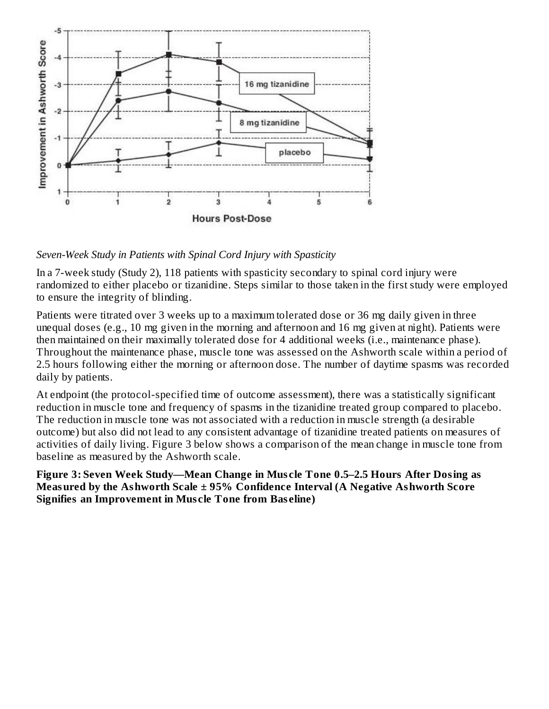

*Seven-Week Study in Patients with Spinal Cord Injury with Spasticity*

In a 7-week study (Study 2), 118 patients with spasticity secondary to spinal cord injury were randomized to either placebo or tizanidine. Steps similar to those taken in the first study were employed to ensure the integrity of blinding.

Patients were titrated over 3 weeks up to a maximum tolerated dose or 36 mg daily given in three unequal doses (e.g., 10 mg given in the morning and afternoon and 16 mg given at night). Patients were then maintained on their maximally tolerated dose for 4 additional weeks (i.e., maintenance phase). Throughout the maintenance phase, muscle tone was assessed on the Ashworth scale within a period of 2.5 hours following either the morning or afternoon dose. The number of daytime spasms was recorded daily by patients.

At endpoint (the protocol-specified time of outcome assessment), there was a statistically significant reduction in muscle tone and frequency of spasms in the tizanidine treated group compared to placebo. The reduction in muscle tone was not associated with a reduction in muscle strength (a desirable outcome) but also did not lead to any consistent advantage of tizanidine treated patients on measures of activities of daily living. Figure 3 below shows a comparison of the mean change in muscle tone from baseline as measured by the Ashworth scale.

**Figure 3: Seven Week Study—Mean Change in Mus cle Tone 0.5–2.5 Hours After Dosing as Measured by the Ashworth Scale ± 95% Confidence Interval (A Negative Ashworth Score Signifies an Improvement in Mus cle Tone from Bas eline)**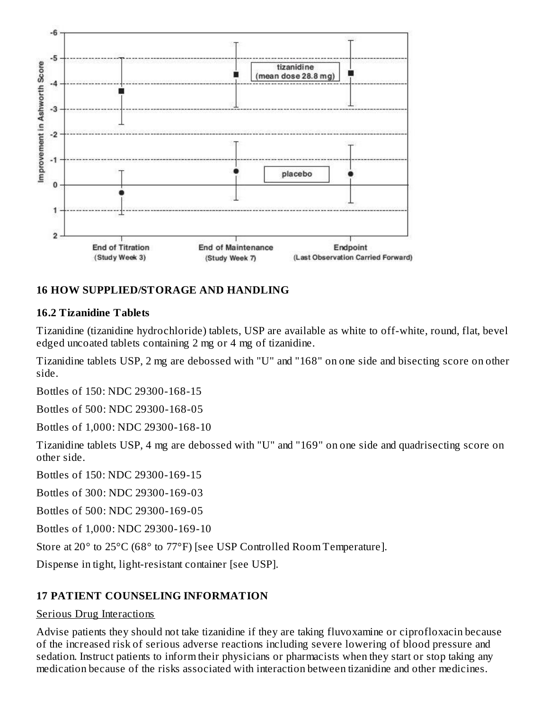

# **16 HOW SUPPLIED/STORAGE AND HANDLING**

#### **16.2 Tizanidine Tablets**

Tizanidine (tizanidine hydrochloride) tablets, USP are available as white to off-white, round, flat, bevel edged uncoated tablets containing 2 mg or 4 mg of tizanidine.

Tizanidine tablets USP, 2 mg are debossed with "U" and "168" on one side and bisecting score on other side.

Bottles of 150: NDC 29300-168-15

Bottles of 500: NDC 29300-168-05

Bottles of 1,000: NDC 29300-168-10

Tizanidine tablets USP, 4 mg are debossed with "U" and "169" on one side and quadrisecting score on other side.

Bottles of 150: NDC 29300-169-15

Bottles of 300: NDC 29300-169-03

Bottles of 500: NDC 29300-169-05

Bottles of 1,000: NDC 29300-169-10

Store at 20° to 25°C (68° to 77°F) [see USP Controlled Room Temperature].

Dispense in tight, light-resistant container [see USP].

## **17 PATIENT COUNSELING INFORMATION**

#### Serious Drug Interactions

Advise patients they should not take tizanidine if they are taking fluvoxamine or ciprofloxacin because of the increased risk of serious adverse reactions including severe lowering of blood pressure and sedation. Instruct patients to inform their physicians or pharmacists when they start or stop taking any medication because of the risks associated with interaction between tizanidine and other medicines.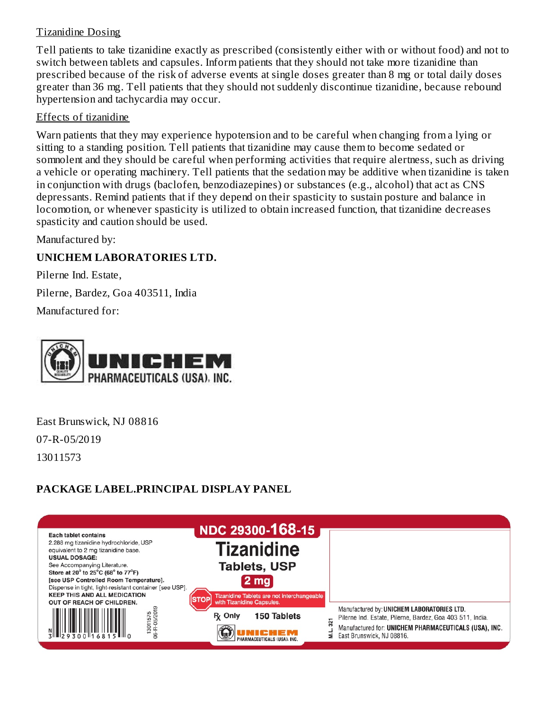#### Tizanidine Dosing

Tell patients to take tizanidine exactly as prescribed (consistently either with or without food) and not to switch between tablets and capsules. Inform patients that they should not take more tizanidine than prescribed because of the risk of adverse events at single doses greater than 8 mg or total daily doses greater than 36 mg. Tell patients that they should not suddenly discontinue tizanidine, because rebound hypertension and tachycardia may occur.

#### Effects of tizanidine

Warn patients that they may experience hypotension and to be careful when changing from a lying or sitting to a standing position. Tell patients that tizanidine may cause them to become sedated or somnolent and they should be careful when performing activities that require alertness, such as driving a vehicle or operating machinery. Tell patients that the sedation may be additive when tizanidine is taken in conjunction with drugs (baclofen, benzodiazepines) or substances (e.g., alcohol) that act as CNS depressants. Remind patients that if they depend on their spasticity to sustain posture and balance in locomotion, or whenever spasticity is utilized to obtain increased function, that tizanidine decreases spasticity and caution should be used.

Manufactured by:

## **UNICHEM LABORATORIES LTD.**

Pilerne Ind. Estate, Pilerne, Bardez, Goa 403511, India Manufactured for:



East Brunswick, NJ 08816 07-R-05/2019 13011573

# **PACKAGE LABEL.PRINCIPAL DISPLAY PANEL**

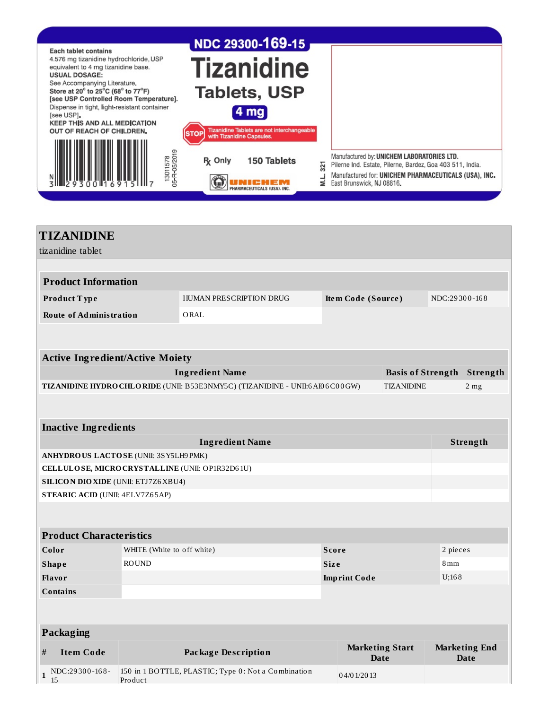

| <b>TIZANIDINE</b>                                  |                                                 |                            |                                                                              |                    |                                       |               |                                     |
|----------------------------------------------------|-------------------------------------------------|----------------------------|------------------------------------------------------------------------------|--------------------|---------------------------------------|---------------|-------------------------------------|
| tizanidine tablet                                  |                                                 |                            |                                                                              |                    |                                       |               |                                     |
|                                                    |                                                 |                            |                                                                              |                    |                                       |               |                                     |
|                                                    | <b>Product Information</b>                      |                            |                                                                              |                    |                                       |               |                                     |
|                                                    | Product Type                                    |                            | HUMAN PRESCRIPTION DRUG                                                      | Item Code (Source) |                                       | NDC:29300-168 |                                     |
|                                                    | <b>Route of Administration</b>                  |                            | ORAL                                                                         |                    |                                       |               |                                     |
|                                                    |                                                 |                            |                                                                              |                    |                                       |               |                                     |
|                                                    |                                                 |                            |                                                                              |                    |                                       |               |                                     |
|                                                    | <b>Active Ingredient/Active Moiety</b>          |                            |                                                                              |                    |                                       |               |                                     |
|                                                    |                                                 |                            | <b>Ingredient Name</b>                                                       |                    | <b>Basis of Strength</b>              |               | Strength                            |
|                                                    |                                                 |                            | TIZANIDINE HYDRO CHLORIDE (UNII: B53E3NMY5C) (TIZANIDINE - UNII:6 AI06C00GW) |                    | <b>TIZANIDINE</b>                     |               | 2 <sub>mg</sub>                     |
|                                                    |                                                 |                            |                                                                              |                    |                                       |               |                                     |
|                                                    |                                                 |                            |                                                                              |                    |                                       |               |                                     |
|                                                    | <b>Inactive Ingredients</b>                     |                            |                                                                              |                    |                                       |               |                                     |
|                                                    |                                                 |                            | <b>Ingredient Name</b>                                                       |                    |                                       |               | Strength                            |
|                                                    | ANHYDROUS LACTOSE (UNII: 3SY5LH9PMK)            |                            |                                                                              |                    |                                       |               |                                     |
|                                                    | CELLULOSE, MICRO CRYSTALLINE (UNII: OP1R32D61U) |                            |                                                                              |                    |                                       |               |                                     |
|                                                    | <b>SILICON DIO XIDE (UNII: ETJ7Z6 XBU4)</b>     |                            |                                                                              |                    |                                       |               |                                     |
|                                                    | <b>STEARIC ACID (UNII: 4ELV7Z65AP)</b>          |                            |                                                                              |                    |                                       |               |                                     |
|                                                    |                                                 |                            |                                                                              |                    |                                       |               |                                     |
|                                                    |                                                 |                            |                                                                              |                    |                                       |               |                                     |
|                                                    | <b>Product Characteristics</b>                  |                            |                                                                              |                    |                                       |               |                                     |
|                                                    | Color                                           | WHITE (White to off white) |                                                                              | <b>Score</b>       |                                       | 2 pieces      |                                     |
| <b>ROUND</b><br><b>Shape</b><br><b>Size</b><br>8mm |                                                 |                            |                                                                              |                    |                                       |               |                                     |
|                                                    | Flavor<br>U:168<br><b>Imprint Code</b>          |                            |                                                                              |                    |                                       |               |                                     |
|                                                    | <b>Contains</b>                                 |                            |                                                                              |                    |                                       |               |                                     |
|                                                    |                                                 |                            |                                                                              |                    |                                       |               |                                     |
|                                                    |                                                 |                            |                                                                              |                    |                                       |               |                                     |
| Packaging                                          |                                                 |                            |                                                                              |                    |                                       |               |                                     |
| #                                                  | <b>Item Code</b>                                |                            | <b>Package Description</b>                                                   |                    | <b>Marketing Start</b><br><b>Date</b> |               | <b>Marketing End</b><br><b>Date</b> |
| $\mathbf{1}$                                       | NDC:29300-168-<br>15                            | Product                    | 150 in 1 BOTTLE, PLASTIC; Type 0: Not a Combination                          | 04/01/2013         |                                       |               |                                     |
|                                                    |                                                 |                            |                                                                              |                    |                                       |               |                                     |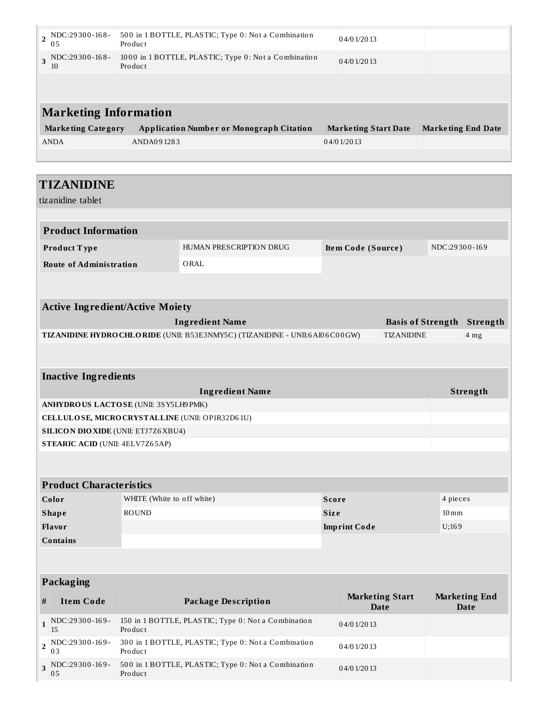|                              | $\frac{1}{2}$ NDC:29300-168-<br>05 | 500 in 1 BOTTLE, PLASTIC; Type 0: Not a Combination<br>Product  | 04/01/2013                  |                           |  |
|------------------------------|------------------------------------|-----------------------------------------------------------------|-----------------------------|---------------------------|--|
|                              | $_3$ NDC:29300-168-<br>10          | 1000 in 1 BOTTLE, PLASTIC; Type 0: Not a Combination<br>Product | 04/01/2013                  |                           |  |
|                              |                                    |                                                                 |                             |                           |  |
| <b>Marketing Information</b> |                                    |                                                                 |                             |                           |  |
|                              | <b>Marketing Category</b>          | <b>Application Number or Monograph Citation</b>                 | <b>Marketing Start Date</b> | <b>Marketing End Date</b> |  |
|                              | <b>ANDA</b>                        | ANDA091283                                                      | 04/01/2013                  |                           |  |
|                              |                                    |                                                                 |                             |                           |  |
|                              |                                    |                                                                 |                             |                           |  |

15 Pro duct

0 3

0 5

**3** NDC:29300-169-

Pro duct

Pro duct

500 in 1 BOTTLE, PLASTIC; Type 0: Not a Combination

|                                                 | <b>TIZANIDINE</b>                           |                                               |                                                                              |              |                                       |                          |                    |                                     |
|-------------------------------------------------|---------------------------------------------|-----------------------------------------------|------------------------------------------------------------------------------|--------------|---------------------------------------|--------------------------|--------------------|-------------------------------------|
|                                                 | tizanidine tablet                           |                                               |                                                                              |              |                                       |                          |                    |                                     |
|                                                 |                                             |                                               |                                                                              |              |                                       |                          |                    |                                     |
|                                                 | <b>Product Information</b>                  |                                               |                                                                              |              |                                       |                          |                    |                                     |
|                                                 | Product Type                                | HUMAN PRESCRIPTION DRUG<br>Item Code (Source) |                                                                              |              |                                       |                          | NDC:29300-169      |                                     |
|                                                 | <b>Route of Administration</b>              |                                               | ORAL                                                                         |              |                                       |                          |                    |                                     |
|                                                 |                                             |                                               |                                                                              |              |                                       |                          |                    |                                     |
|                                                 | <b>Active Ingredient/Active Moiety</b>      |                                               |                                                                              |              |                                       |                          |                    |                                     |
|                                                 |                                             |                                               | <b>Ingredient Name</b>                                                       |              |                                       | <b>Basis of Strength</b> |                    | Strength                            |
|                                                 |                                             |                                               | TIZANIDINE HYDRO CHLO RIDE (UNII: B53E3NMY5C) (TIZANIDINE - UNII:6A106C00GW) |              |                                       | <b>TIZANIDINE</b>        |                    | 4 <sub>mg</sub>                     |
|                                                 |                                             |                                               |                                                                              |              |                                       |                          |                    |                                     |
|                                                 |                                             |                                               |                                                                              |              |                                       |                          |                    |                                     |
|                                                 | <b>Inactive Ingredients</b>                 |                                               |                                                                              |              |                                       |                          |                    |                                     |
|                                                 |                                             |                                               | <b>Ingredient Name</b>                                                       |              |                                       |                          |                    | Strength                            |
|                                                 | ANHYDROUS LACTOSE (UNII: 3SY5LH9 PMK)       |                                               |                                                                              |              |                                       |                          |                    |                                     |
| CELLULOSE, MICRO CRYSTALLINE (UNII: OP1R32D61U) |                                             |                                               |                                                                              |              |                                       |                          |                    |                                     |
|                                                 | <b>SILICON DIO XIDE (UNII: ETJ7Z6 XBU4)</b> |                                               |                                                                              |              |                                       |                          |                    |                                     |
|                                                 | <b>STEARIC ACID (UNII: 4ELV7Z65AP)</b>      |                                               |                                                                              |              |                                       |                          |                    |                                     |
|                                                 |                                             |                                               |                                                                              |              |                                       |                          |                    |                                     |
|                                                 |                                             |                                               |                                                                              |              |                                       |                          |                    |                                     |
|                                                 | <b>Product Characteristics</b>              |                                               |                                                                              |              |                                       |                          |                    |                                     |
|                                                 | Color                                       | WHITE (White to off white)                    |                                                                              | <b>Score</b> |                                       |                          | 4 pieces           |                                     |
|                                                 | <b>Shape</b>                                | <b>ROUND</b>                                  |                                                                              | <b>Size</b>  |                                       |                          | $10 \,\mathrm{mm}$ |                                     |
| Flavor<br><b>Imprint Code</b><br>U;169          |                                             |                                               |                                                                              |              |                                       |                          |                    |                                     |
|                                                 | <b>Contains</b>                             |                                               |                                                                              |              |                                       |                          |                    |                                     |
|                                                 |                                             |                                               |                                                                              |              |                                       |                          |                    |                                     |
| <b>Packaging</b>                                |                                             |                                               |                                                                              |              |                                       |                          |                    |                                     |
| $\#$                                            | <b>Item Code</b>                            |                                               | <b>Package Description</b>                                                   |              | <b>Marketing Start</b><br><b>Date</b> |                          |                    | <b>Marketing End</b><br><b>Date</b> |
| $\mathbf{1}$                                    | NDC:29300-169-<br>15                        | Product                                       | 150 in 1 BOTTLE, PLASTIC; Type 0: Not a Combination                          |              | 04/01/2013                            |                          |                    |                                     |
| $\overline{\mathbf{2}}$                         | NDC:29300-169-                              |                                               | 300 in 1 BOTTLE, PLASTIC; Type 0: Not a Combination                          |              | 04/01/2013                            |                          |                    |                                     |

0 4/0 1/20 13